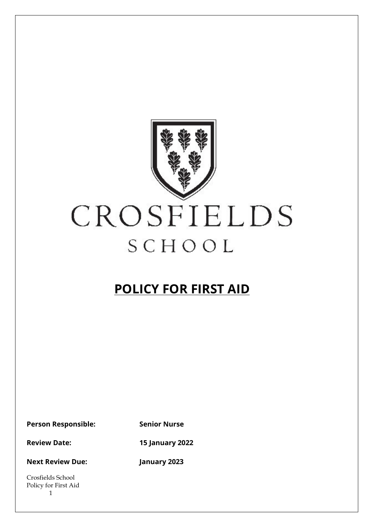

# CROSFIELDS SCHOOL

# **POLICY FOR FIRST AID**

**Person Responsible: Senior Nurse**

**Review Date: 15 January 2022**

**Next Review Due: January 2023**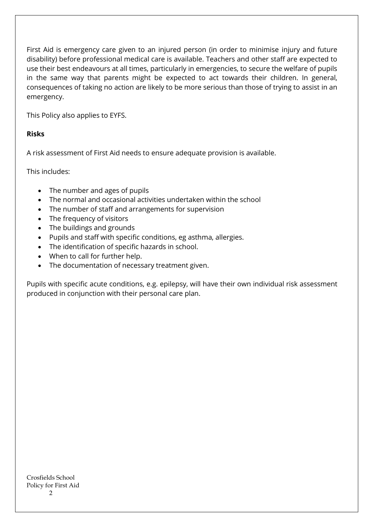First Aid is emergency care given to an injured person (in order to minimise injury and future disability) before professional medical care is available. Teachers and other staff are expected to use their best endeavours at all times, particularly in emergencies, to secure the welfare of pupils in the same way that parents might be expected to act towards their children. In general, consequences of taking no action are likely to be more serious than those of trying to assist in an emergency.

This Policy also applies to EYFS.

#### **Risks**

A risk assessment of First Aid needs to ensure adequate provision is available.

This includes:

- The number and ages of pupils
- The normal and occasional activities undertaken within the school
- The number of staff and arrangements for supervision
- The frequency of visitors
- The buildings and grounds
- Pupils and staff with specific conditions, eg asthma, allergies.
- The identification of specific hazards in school.
- When to call for further help.
- The documentation of necessary treatment given.

Pupils with specific acute conditions, e.g. epilepsy, will have their own individual risk assessment produced in conjunction with their personal care plan.

Crosfields School Policy for First Aid  $\mathcal{D}$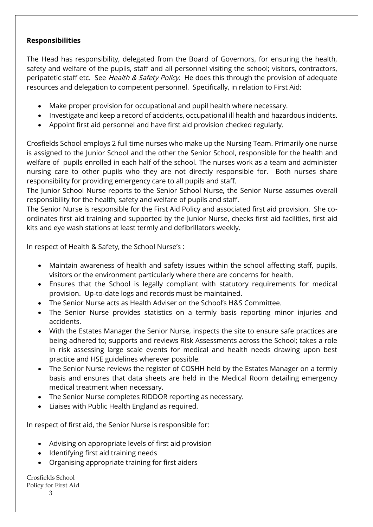#### **Responsibilities**

The Head has responsibility, delegated from the Board of Governors, for ensuring the health, safety and welfare of the pupils, staff and all personnel visiting the school; visitors, contractors, peripatetic staff etc. See *Health & Safety Policy.* He does this through the provision of adequate resources and delegation to competent personnel. Specifically, in relation to First Aid:

- Make proper provision for occupational and pupil health where necessary.
- Investigate and keep a record of accidents, occupational ill health and hazardous incidents.
- Appoint first aid personnel and have first aid provision checked regularly.

Crosfields School employs 2 full time nurses who make up the Nursing Team. Primarily one nurse is assigned to the Junior School and the other the Senior School, responsible for the health and welfare of pupils enrolled in each half of the school. The nurses work as a team and administer nursing care to other pupils who they are not directly responsible for. Both nurses share responsibility for providing emergency care to all pupils and staff.

The Junior School Nurse reports to the Senior School Nurse, the Senior Nurse assumes overall responsibility for the health, safety and welfare of pupils and staff.

The Senior Nurse is responsible for the First Aid Policy and associated first aid provision. She coordinates first aid training and supported by the Junior Nurse, checks first aid facilities, first aid kits and eye wash stations at least termly and defibrillators weekly.

In respect of Health & Safety, the School Nurse's :

- Maintain awareness of health and safety issues within the school affecting staff, pupils, visitors or the environment particularly where there are concerns for health.
- Ensures that the School is legally compliant with statutory requirements for medical provision. Up-to-date logs and records must be maintained.
- The Senior Nurse acts as Health Adviser on the School's H&S Committee.
- The Senior Nurse provides statistics on a termly basis reporting minor injuries and accidents.
- With the Estates Manager the Senior Nurse, inspects the site to ensure safe practices are being adhered to; supports and reviews Risk Assessments across the School; takes a role in risk assessing large scale events for medical and health needs drawing upon best practice and HSE guidelines wherever possible.
- The Senior Nurse reviews the register of COSHH held by the Estates Manager on a termly basis and ensures that data sheets are held in the Medical Room detailing emergency medical treatment when necessary.
- The Senior Nurse completes RIDDOR reporting as necessary.
- Liaises with Public Health England as required.

In respect of first aid, the Senior Nurse is responsible for:

- Advising on appropriate levels of first aid provision
- Identifying first aid training needs
- Organising appropriate training for first aiders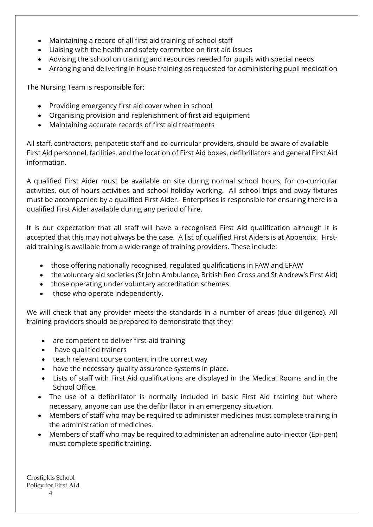- Maintaining a record of all first aid training of school staff
- Liaising with the health and safety committee on first aid issues
- Advising the school on training and resources needed for pupils with special needs
- Arranging and delivering in house training as requested for administering pupil medication

The Nursing Team is responsible for:

- Providing emergency first aid cover when in school
- Organising provision and replenishment of first aid equipment
- Maintaining accurate records of first aid treatments

All staff, contractors, peripatetic staff and co-curricular providers, should be aware of available First Aid personnel, facilities, and the location of First Aid boxes, defibrillators and general First Aid information.

A qualified First Aider must be available on site during normal school hours, for co-curricular activities, out of hours activities and school holiday working. All school trips and away fixtures must be accompanied by a qualified First Aider. Enterprises is responsible for ensuring there is a qualified First Aider available during any period of hire.

It is our expectation that all staff will have a recognised First Aid qualification although it is accepted that this may not always be the case. A list of qualified First Aiders is at Appendix. Firstaid training is available from a wide range of training providers. These include:

- those offering nationally recognised, regulated qualifications in FAW and EFAW
- the voluntary aid societies (St John Ambulance, British Red Cross and St Andrew's First Aid)
- those operating under voluntary accreditation schemes
- those who operate independently.

We will check that any provider meets the standards in a number of areas (due diligence). All training providers should be prepared to demonstrate that they:

- are competent to deliver first-aid training
- have qualified trainers
- teach relevant course content in the correct way
- have the necessary quality assurance systems in place.
- Lists of staff with First Aid qualifications are displayed in the Medical Rooms and in the School Office.
- The use of a defibrillator is normally included in basic First Aid training but where necessary, anyone can use the defibrillator in an emergency situation.
- Members of staff who may be required to administer medicines must complete training in the administration of medicines.
- Members of staff who may be required to administer an adrenaline auto-injector (Epi-pen) must complete specific training.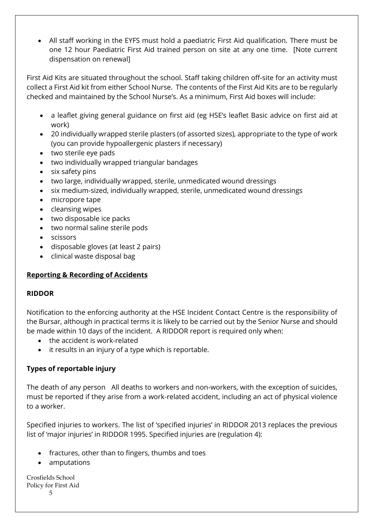• All staff working in the EYFS must hold a paediatric First Aid qualification. There must be one 12 hour Paediatric First Aid trained person on site at any one time. [Note current dispensation on renewal]

First Aid Kits are situated throughout the school. Staff taking children off-site for an activity must collect a First Aid kit from either School Nurse. The contents of the First Aid Kits are to be regularly checked and maintained by the School Nurse's. As a minimum, First Aid boxes will include:

- a leaflet giving general guidance on first aid (eg HSE's leaflet Basic advice on first aid at work)
- 20 individually wrapped sterile plasters (of assorted sizes), appropriate to the type of work (you can provide hypoallergenic plasters if necessary)
- two sterile eye pads
- two individually wrapped triangular bandages
- six safety pins
- two large, individually wrapped, sterile, unmedicated wound dressings
- six medium-sized, individually wrapped, sterile, unmedicated wound dressings
- micropore tape
- cleansing wipes
- two disposable ice packs
- two normal saline sterile pods
- scissors
- disposable gloves (at least 2 pairs)
- clinical waste disposal bag

# **Reporting & Recording of Accidents**

# **RIDDOR**

Notification to the enforcing authority at the HSE Incident Contact Centre is the responsibility of the Bursar, although in practical terms it is likely to be carried out by the Senior Nurse and should be made within 10 days of the incident. A RIDDOR report is required only when:

- the accident is work-related
- it results in an injury of a type which is reportable.

# **Types of reportable injury**

The death of any person All deaths to workers and non-workers, with the exception of suicides, must be reported if they arise from a work-related accident, including an act of physical violence to a worker.

Specified injuries to workers. The list of 'specified injuries' in RIDDOR 2013 replaces the previous list of 'major injuries' in RIDDOR 1995. Specified injuries are (regulation 4):

- fractures, other than to fingers, thumbs and toes
- amputations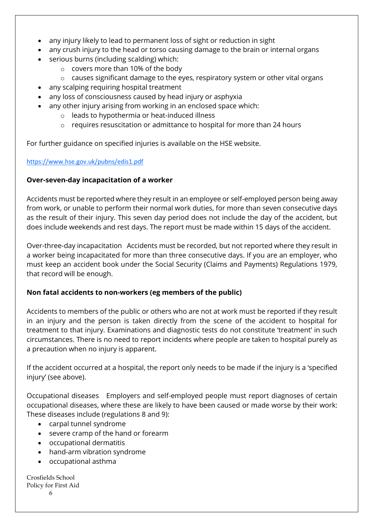- any injury likely to lead to permanent loss of sight or reduction in sight
- any crush injury to the head or torso causing damage to the brain or internal organs
- serious burns (including scalding) which:
	- o covers more than 10% of the body
	- o causes significant damage to the eyes, respiratory system or other vital organs
- any scalping requiring hospital treatment
- any loss of consciousness caused by head injury or asphyxia
- any other injury arising from working in an enclosed space which:
	- o leads to hypothermia or heat-induced illness
	- o requires resuscitation or admittance to hospital for more than 24 hours

For further guidance on specified injuries is available on the HSE website.

#### <https://www.hse.gov.uk/pubns/edis1.pdf>

# **Over-seven-day incapacitation of a worker**

Accidents must be reported where they result in an employee or self-employed person being away from work, or unable to perform their normal work duties, for more than seven consecutive days as the result of their injury. This seven day period does not include the day of the accident, but does include weekends and rest days. The report must be made within 15 days of the accident.

Over-three-day incapacitation Accidents must be recorded, but not reported where they result in a worker being incapacitated for more than three consecutive days. If you are an employer, who must keep an accident book under the Social Security (Claims and Payments) Regulations 1979, that record will be enough.

# **Non fatal accidents to non-workers (eg members of the public)**

Accidents to members of the public or others who are not at work must be reported if they result in an injury and the person is taken directly from the scene of the accident to hospital for treatment to that injury. Examinations and diagnostic tests do not constitute 'treatment' in such circumstances. There is no need to report incidents where people are taken to hospital purely as a precaution when no injury is apparent.

If the accident occurred at a hospital, the report only needs to be made if the injury is a 'specified injury' (see above).

Occupational diseases Employers and self-employed people must report diagnoses of certain occupational diseases, where these are likely to have been caused or made worse by their work: These diseases include (regulations 8 and 9):

- carpal tunnel syndrome
- severe cramp of the hand or forearm
- occupational dermatitis
- hand-arm vibration syndrome
- occupational asthma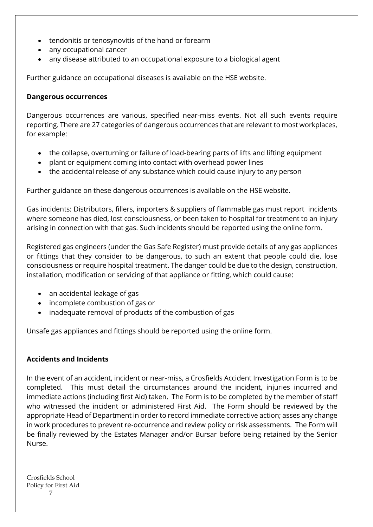- tendonitis or tenosynovitis of the hand or forearm
- any occupational cancer
- any disease attributed to an occupational exposure to a biological agent

Further guidance on occupational diseases is available on the HSE website.

#### **Dangerous occurrences**

Dangerous occurrences are various, specified near-miss events. Not all such events require reporting. There are 27 categories of dangerous occurrences that are relevant to most workplaces, for example:

- the collapse, overturning or failure of load-bearing parts of lifts and lifting equipment
- plant or equipment coming into contact with overhead power lines
- the accidental release of any substance which could cause injury to any person

Further guidance on these dangerous occurrences is available on the HSE website.

Gas incidents: Distributors, fillers, importers & suppliers of flammable gas must report incidents where someone has died, lost consciousness, or been taken to hospital for treatment to an injury arising in connection with that gas. Such incidents should be reported using the online form.

Registered gas engineers (under the Gas Safe Register) must provide details of any gas appliances or fittings that they consider to be dangerous, to such an extent that people could die, lose consciousness or require hospital treatment. The danger could be due to the design, construction, installation, modification or servicing of that appliance or fitting, which could cause:

- an accidental leakage of gas
- incomplete combustion of gas or
- inadequate removal of products of the combustion of gas

Unsafe gas appliances and fittings should be reported using the online form.

#### **Accidents and Incidents**

In the event of an accident, incident or near-miss, a Crosfields Accident Investigation Form is to be completed. This must detail the circumstances around the incident, injuries incurred and immediate actions (including first Aid) taken. The Form is to be completed by the member of staff who witnessed the incident or administered First Aid. The Form should be reviewed by the appropriate Head of Department in order to record immediate corrective action; asses any change in work procedures to prevent re-occurrence and review policy or risk assessments. The Form will be finally reviewed by the Estates Manager and/or Bursar before being retained by the Senior Nurse.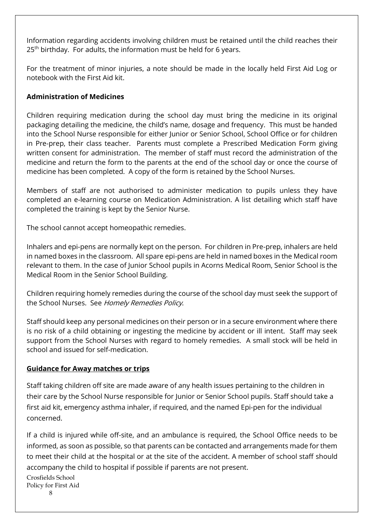Information regarding accidents involving children must be retained until the child reaches their 25<sup>th</sup> birthday. For adults, the information must be held for 6 years.

For the treatment of minor injuries, a note should be made in the locally held First Aid Log or notebook with the First Aid kit.

# **Administration of Medicines**

Children requiring medication during the school day must bring the medicine in its original packaging detailing the medicine, the child's name, dosage and frequency. This must be handed into the School Nurse responsible for either Junior or Senior School, School Office or for children in Pre-prep, their class teacher. Parents must complete a Prescribed Medication Form giving written consent for administration. The member of staff must record the administration of the medicine and return the form to the parents at the end of the school day or once the course of medicine has been completed. A copy of the form is retained by the School Nurses.

Members of staff are not authorised to administer medication to pupils unless they have completed an e-learning course on Medication Administration. A list detailing which staff have completed the training is kept by the Senior Nurse.

The school cannot accept homeopathic remedies.

Inhalers and epi-pens are normally kept on the person. For children in Pre-prep, inhalers are held in named boxes in the classroom. All spare epi-pens are held in named boxes in the Medical room relevant to them. In the case of Junior School pupils in Acorns Medical Room, Senior School is the Medical Room in the Senior School Building.

Children requiring homely remedies during the course of the school day must seek the support of the School Nurses. See Homely Remedies Policy.

Staff should keep any personal medicines on their person or in a secure environment where there is no risk of a child obtaining or ingesting the medicine by accident or ill intent. Staff may seek support from the School Nurses with regard to homely remedies. A small stock will be held in school and issued for self-medication.

#### **Guidance for Away matches or trips**

Staff taking children off site are made aware of any health issues pertaining to the children in their care by the School Nurse responsible for Junior or Senior School pupils. Staff should take a first aid kit, emergency asthma inhaler, if required, and the named Epi-pen for the individual concerned.

If a child is injured while off-site, and an ambulance is required, the School Office needs to be informed, as soon as possible, so that parents can be contacted and arrangements made for them to meet their child at the hospital or at the site of the accident. A member of school staff should accompany the child to hospital if possible if parents are not present.

Crosfields School Policy for First Aid

8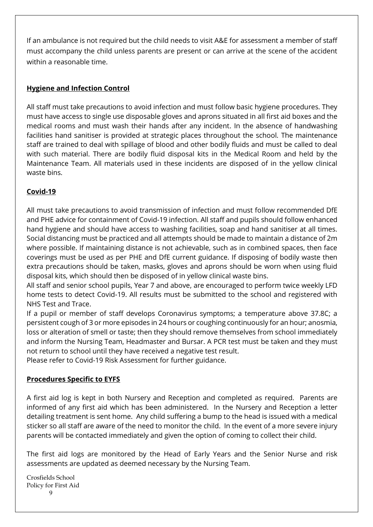If an ambulance is not required but the child needs to visit A&E for assessment a member of staff must accompany the child unless parents are present or can arrive at the scene of the accident within a reasonable time.

# **Hygiene and Infection Control**

All staff must take precautions to avoid infection and must follow basic hygiene procedures. They must have access to single use disposable gloves and aprons situated in all first aid boxes and the medical rooms and must wash their hands after any incident. In the absence of handwashing facilities hand sanitiser is provided at strategic places throughout the school. The maintenance staff are trained to deal with spillage of blood and other bodily fluids and must be called to deal with such material. There are bodily fluid disposal kits in the Medical Room and held by the Maintenance Team. All materials used in these incidents are disposed of in the yellow clinical waste bins.

# **Covid-19**

All must take precautions to avoid transmission of infection and must follow recommended DfE and PHE advice for containment of Covid-19 infection. All staff and pupils should follow enhanced hand hygiene and should have access to washing facilities, soap and hand sanitiser at all times. Social distancing must be practiced and all attempts should be made to maintain a distance of 2m where possible. If maintaining distance is not achievable, such as in combined spaces, then face coverings must be used as per PHE and DfE current guidance. If disposing of bodily waste then extra precautions should be taken, masks, gloves and aprons should be worn when using fluid disposal kits, which should then be disposed of in yellow clinical waste bins.

All staff and senior school pupils, Year 7 and above, are encouraged to perform twice weekly LFD home tests to detect Covid-19. All results must be submitted to the school and registered with NHS Test and Trace.

If a pupil or member of staff develops Coronavirus symptoms; a temperature above 37.8C; a persistent cough of 3 or more episodes in 24 hours or coughing continuously for an hour; anosmia, loss or alteration of smell or taste; then they should remove themselves from school immediately and inform the Nursing Team, Headmaster and Bursar. A PCR test must be taken and they must not return to school until they have received a negative test result.

Please refer to Covid-19 Risk Assessment for further guidance.

#### **Procedures Specific to EYFS**

A first aid log is kept in both Nursery and Reception and completed as required. Parents are informed of any first aid which has been administered. In the Nursery and Reception a letter detailing treatment is sent home. Any child suffering a bump to the head is issued with a medical sticker so all staff are aware of the need to monitor the child. In the event of a more severe injury parents will be contacted immediately and given the option of coming to collect their child.

The first aid logs are monitored by the Head of Early Years and the Senior Nurse and risk assessments are updated as deemed necessary by the Nursing Team.

Crosfields School Policy for First Aid  $\mathbf Q$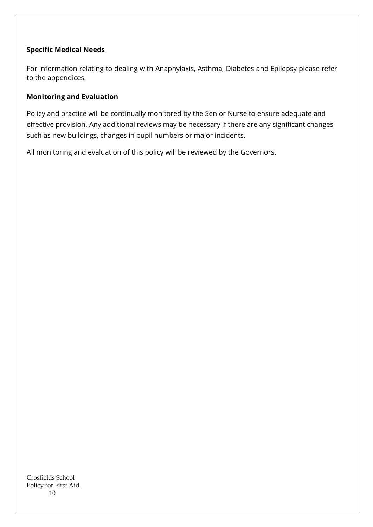#### **Specific Medical Needs**

For information relating to dealing with Anaphylaxis, Asthma, Diabetes and Epilepsy please refer to the appendices.

#### **Monitoring and Evaluation**

Policy and practice will be continually monitored by the Senior Nurse to ensure adequate and effective provision. Any additional reviews may be necessary if there are any significant changes such as new buildings, changes in pupil numbers or major incidents.

All monitoring and evaluation of this policy will be reviewed by the Governors.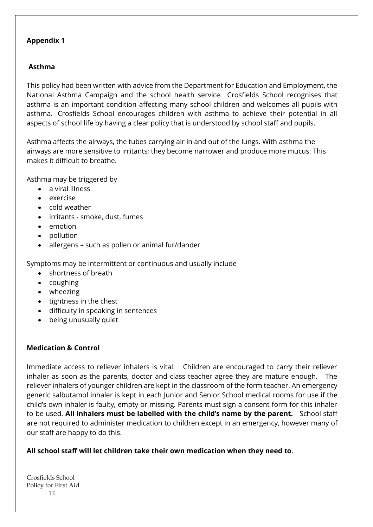#### **Appendix 1**

# **Asthma**

This policy had been written with advice from the Department for Education and Employment, the National Asthma Campaign and the school health service. Crosfields School recognises that asthma is an important condition affecting many school children and welcomes all pupils with asthma. Crosfields School encourages children with asthma to achieve their potential in all aspects of school life by having a clear policy that is understood by school staff and pupils.

Asthma affects the airways, the tubes carrying air in and out of the lungs. With asthma the airways are more sensitive to irritants; they become narrower and produce more mucus. This makes it difficult to breathe.

Asthma may be triggered by

- a viral illness
- exercise
- cold weather
- irritants smoke, dust, fumes
- emotion
- pollution
- allergens such as pollen or animal fur/dander

Symptoms may be intermittent or continuous and usually include

- shortness of breath
- coughing
- wheezing
- tightness in the chest
- difficulty in speaking in sentences
- being unusually quiet

# **Medication & Control**

Immediate access to reliever inhalers is vital. Children are encouraged to carry their reliever inhaler as soon as the parents, doctor and class teacher agree they are mature enough. The reliever inhalers of younger children are kept in the classroom of the form teacher. An emergency generic salbutamol inhaler is kept in each Junior and Senior School medical rooms for use if the child's own inhaler is faulty, empty or missing. Parents must sign a consent form for this inhaler to be used. **All inhalers must be labelled with the child's name by the parent.** School staff are not required to administer medication to children except in an emergency, however many of our staff are happy to do this.

# **All school staff will let children take their own medication when they need to**.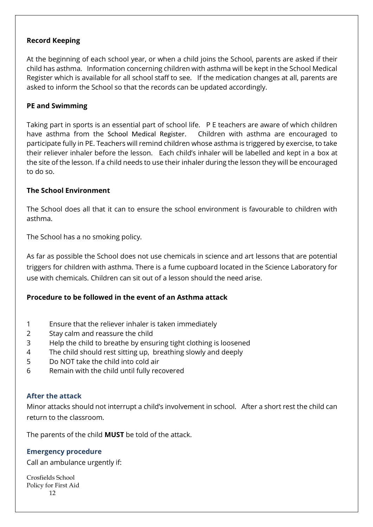#### **Record Keeping**

At the beginning of each school year, or when a child joins the School, parents are asked if their child has asthma. Information concerning children with asthma will be kept in the School Medical Register which is available for all school staff to see. If the medication changes at all, parents are asked to inform the School so that the records can be updated accordingly.

#### **PE and Swimming**

Taking part in sports is an essential part of school life. P E teachers are aware of which children have asthma from the School Medical Register. Children with asthma are encouraged to participate fully in PE. Teachers will remind children whose asthma is triggered by exercise, to take their reliever inhaler before the lesson. Each child's inhaler will be labelled and kept in a box at the site of the lesson. If a child needs to use their inhaler during the lesson they will be encouraged to do so.

#### **The School Environment**

The School does all that it can to ensure the school environment is favourable to children with asthma.

The School has a no smoking policy.

As far as possible the School does not use chemicals in science and art lessons that are potential triggers for children with asthma. There is a fume cupboard located in the Science Laboratory for use with chemicals. Children can sit out of a lesson should the need arise.

# **Procedure to be followed in the event of an Asthma attack**

- 1 Ensure that the reliever inhaler is taken immediately
- 2 Stay calm and reassure the child
- 3 Help the child to breathe by ensuring tight clothing is loosened
- 4 The child should rest sitting up, breathing slowly and deeply
- 5 Do NOT take the child into cold air
- 6 Remain with the child until fully recovered

#### **After the attack**

Minor attacks should not interrupt a child's involvement in school. After a short rest the child can return to the classroom.

The parents of the child **MUST** be told of the attack.

#### **Emergency procedure**

Call an ambulance urgently if: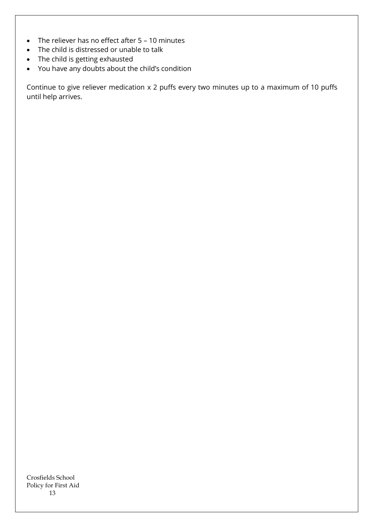- The reliever has no effect after 5 10 minutes
- The child is distressed or unable to talk
- The child is getting exhausted
- You have any doubts about the child's condition

Continue to give reliever medication x 2 puffs every two minutes up to a maximum of 10 puffs until help arrives.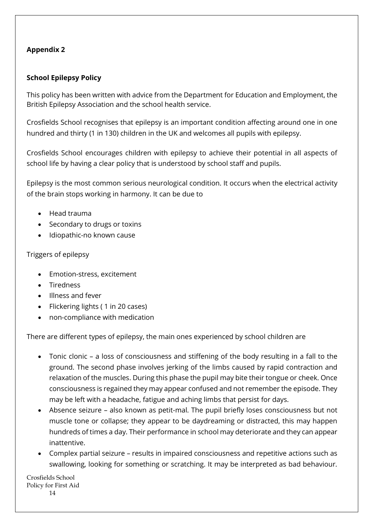# **Appendix 2**

# **School Epilepsy Policy**

This policy has been written with advice from the Department for Education and Employment, the British Epilepsy Association and the school health service.

Crosfields School recognises that epilepsy is an important condition affecting around one in one hundred and thirty (1 in 130) children in the UK and welcomes all pupils with epilepsy.

Crosfields School encourages children with epilepsy to achieve their potential in all aspects of school life by having a clear policy that is understood by school staff and pupils.

Epilepsy is the most common serious neurological condition. It occurs when the electrical activity of the brain stops working in harmony. It can be due to

- Head trauma
- Secondary to drugs or toxins
- Idiopathic-no known cause

# Triggers of epilepsy

- Emotion-stress, excitement
- **Tiredness**
- Illness and fever
- Flickering lights ( 1 in 20 cases)
- non-compliance with medication

There are different types of epilepsy, the main ones experienced by school children are

- Tonic clonic a loss of consciousness and stiffening of the body resulting in a fall to the ground. The second phase involves jerking of the limbs caused by rapid contraction and relaxation of the muscles. During this phase the pupil may bite their tongue or cheek. Once consciousness is regained they may appear confused and not remember the episode. They may be left with a headache, fatigue and aching limbs that persist for days.
- Absence seizure also known as petit-mal. The pupil briefly loses consciousness but not muscle tone or collapse; they appear to be daydreaming or distracted, this may happen hundreds of times a day. Their performance in school may deteriorate and they can appear inattentive.
- Complex partial seizure results in impaired consciousness and repetitive actions such as swallowing, looking for something or scratching. It may be interpreted as bad behaviour.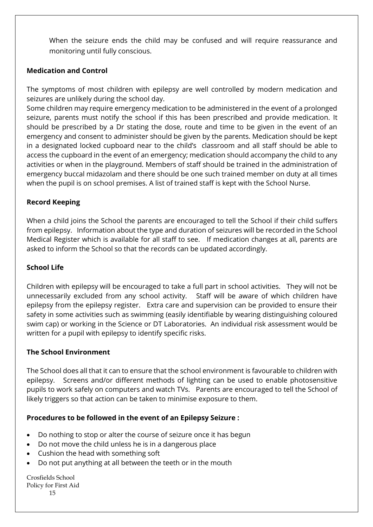When the seizure ends the child may be confused and will require reassurance and monitoring until fully conscious.

# **Medication and Control**

The symptoms of most children with epilepsy are well controlled by modern medication and seizures are unlikely during the school day.

Some children may require emergency medication to be administered in the event of a prolonged seizure, parents must notify the school if this has been prescribed and provide medication. It should be prescribed by a Dr stating the dose, route and time to be given in the event of an emergency and consent to administer should be given by the parents. Medication should be kept in a designated locked cupboard near to the child's classroom and all staff should be able to access the cupboard in the event of an emergency; medication should accompany the child to any activities or when in the playground. Members of staff should be trained in the administration of emergency buccal midazolam and there should be one such trained member on duty at all times when the pupil is on school premises. A list of trained staff is kept with the School Nurse.

# **Record Keeping**

When a child joins the School the parents are encouraged to tell the School if their child suffers from epilepsy. Information about the type and duration of seizures will be recorded in the School Medical Register which is available for all staff to see. If medication changes at all, parents are asked to inform the School so that the records can be updated accordingly.

#### **School Life**

Children with epilepsy will be encouraged to take a full part in school activities. They will not be unnecessarily excluded from any school activity. Staff will be aware of which children have epilepsy from the epilepsy register. Extra care and supervision can be provided to ensure their safety in some activities such as swimming (easily identifiable by wearing distinguishing coloured swim cap) or working in the Science or DT Laboratories. An individual risk assessment would be written for a pupil with epilepsy to identify specific risks.

#### **The School Environment**

The School does all that it can to ensure that the school environment is favourable to children with epilepsy. Screens and/or different methods of lighting can be used to enable photosensitive pupils to work safely on computers and watch TVs. Parents are encouraged to tell the School of likely triggers so that action can be taken to minimise exposure to them.

# **Procedures to be followed in the event of an Epilepsy Seizure :**

- Do nothing to stop or alter the course of seizure once it has begun
- Do not move the child unless he is in a dangerous place
- Cushion the head with something soft
- Do not put anything at all between the teeth or in the mouth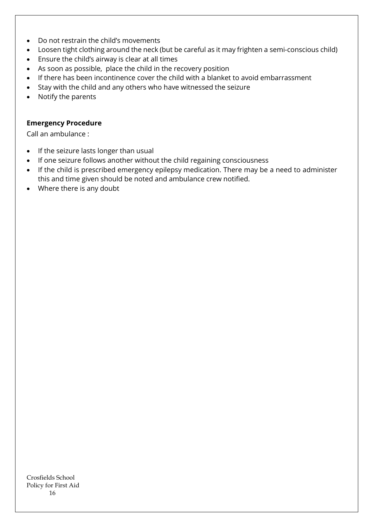- Do not restrain the child's movements
- Loosen tight clothing around the neck (but be careful as it may frighten a semi-conscious child)
- Ensure the child's airway is clear at all times
- As soon as possible, place the child in the recovery position
- If there has been incontinence cover the child with a blanket to avoid embarrassment
- Stay with the child and any others who have witnessed the seizure
- Notify the parents

# **Emergency Procedure**

Call an ambulance :

- If the seizure lasts longer than usual
- If one seizure follows another without the child regaining consciousness
- If the child is prescribed emergency epilepsy medication. There may be a need to administer this and time given should be noted and ambulance crew notified.
- Where there is any doubt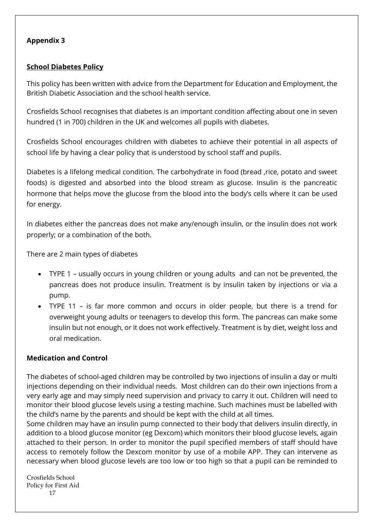#### **Appendix 3**

#### **School Diabetes Policy**

This policy has been written with advice from the Department for Education and Employment, the British Diabetic Association and the school health service.

Crosfields School recognises that diabetes is an important condition affecting about one in seven hundred (1 in 700) children in the UK and welcomes all pupils with diabetes.

Crosfields School encourages children with diabetes to achieve their potential in all aspects of school life by having a clear policy that is understood by school staff and pupils.

Diabetes is a lifelong medical condition. The carbohydrate in food (bread ,rice, potato and sweet foods) is digested and absorbed into the blood stream as glucose. Insulin is the pancreatic hormone that helps move the glucose from the blood into the body's cells where it can be used for energy.

In diabetes either the pancreas does not make any/enough insulin, or the insulin does not work properly; or a combination of the both.

There are 2 main types of diabetes

- TYPE 1 usually occurs in young children or young adults and can not be prevented, the pancreas does not produce insulin. Treatment is by insulin taken by injections or via a pump.
- TYPE 11 is far more common and occurs in older people, but there is a trend for overweight young adults or teenagers to develop this form. The pancreas can make some insulin but not enough, or it does not work effectively. Treatment is by diet, weight loss and oral medication.

# **Medication and Control**

The diabetes of school-aged children may be controlled by two injections of insulin a day or multi injections depending on their individual needs. Most children can do their own injections from a very early age and may simply need supervision and privacy to carry it out. Children will need to monitor their blood glucose levels using a testing machine. Such machines must be labelled with the child's name by the parents and should be kept with the child at all times.

Some children may have an insulin pump connected to their body that delivers insulin directly, in addition to a blood glucose monitor (eg Dexcom) which monitors their blood glucose levels, again attached to their person. In order to monitor the pupil specified members of staff should have access to remotely follow the Dexcom monitor by use of a mobile APP. They can intervene as necessary when blood glucose levels are too low or too high so that a pupil can be reminded to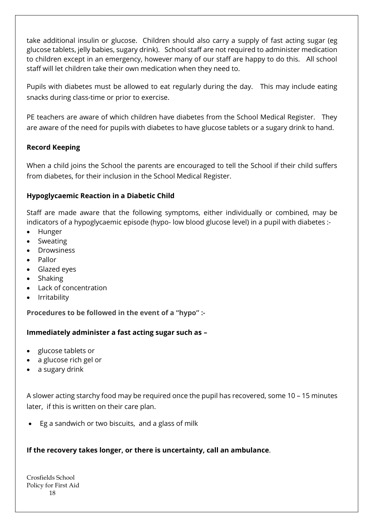take additional insulin or glucose. Children should also carry a supply of fast acting sugar (eg glucose tablets, jelly babies, sugary drink). School staff are not required to administer medication to children except in an emergency, however many of our staff are happy to do this. All school staff will let children take their own medication when they need to.

Pupils with diabetes must be allowed to eat regularly during the day. This may include eating snacks during class-time or prior to exercise.

PE teachers are aware of which children have diabetes from the School Medical Register. They are aware of the need for pupils with diabetes to have glucose tablets or a sugary drink to hand.

# **Record Keeping**

When a child joins the School the parents are encouraged to tell the School if their child suffers from diabetes, for their inclusion in the School Medical Register.

# **Hypoglycaemic Reaction in a Diabetic Child**

Staff are made aware that the following symptoms, either individually or combined, may be indicators of a hypoglycaemic episode (hypo- low blood glucose level) in a pupil with diabetes :-

- Hunger
- **Sweating**
- Drowsiness
- Pallor
- Glazed eyes
- Shaking
- Lack of concentration
- Irritability

**Procedures to be followed in the event of a "hypo" :-**

# **Immediately administer a fast acting sugar such as –**

- glucose tablets or
- a glucose rich gel or
- a sugary drink

A slower acting starchy food may be required once the pupil has recovered, some 10 – 15 minutes later, if this is written on their care plan.

• Eg a sandwich or two biscuits, and a glass of milk

# **If the recovery takes longer, or there is uncertainty, call an ambulance**.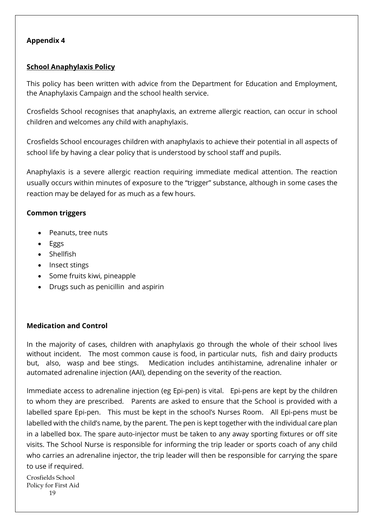#### **Appendix 4**

#### **School Anaphylaxis Policy**

This policy has been written with advice from the Department for Education and Employment, the Anaphylaxis Campaign and the school health service.

Crosfields School recognises that anaphylaxis, an extreme allergic reaction, can occur in school children and welcomes any child with anaphylaxis.

Crosfields School encourages children with anaphylaxis to achieve their potential in all aspects of school life by having a clear policy that is understood by school staff and pupils.

Anaphylaxis is a severe allergic reaction requiring immediate medical attention. The reaction usually occurs within minutes of exposure to the "trigger" substance, although in some cases the reaction may be delayed for as much as a few hours.

#### **Common triggers**

- Peanuts, tree nuts
- Eggs
- Shellfish
- Insect stings
- Some fruits kiwi, pineapple
- Drugs such as penicillin and aspirin

#### **Medication and Control**

In the majority of cases, children with anaphylaxis go through the whole of their school lives without incident. The most common cause is food, in particular nuts, fish and dairy products but, also, wasp and bee stings. Medication includes antihistamine, adrenaline inhaler or automated adrenaline injection (AAI), depending on the severity of the reaction.

Immediate access to adrenaline injection (eg Epi-pen) is vital. Epi-pens are kept by the children to whom they are prescribed. Parents are asked to ensure that the School is provided with a labelled spare Epi-pen. This must be kept in the school's Nurses Room. All Epi-pens must be labelled with the child's name, by the parent. The pen is kept together with the individual care plan in a labelled box. The spare auto-injector must be taken to any away sporting fixtures or off site visits. The School Nurse is responsible for informing the trip leader or sports coach of any child who carries an adrenaline injector, the trip leader will then be responsible for carrying the spare to use if required.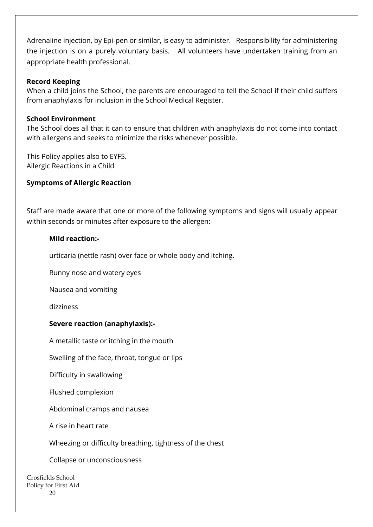Adrenaline injection, by Epi-pen or similar, is easy to administer. Responsibility for administering the injection is on a purely voluntary basis. All volunteers have undertaken training from an appropriate health professional.

#### **Record Keeping**

When a child joins the School, the parents are encouraged to tell the School if their child suffers from anaphylaxis for inclusion in the School Medical Register.

#### **School Environment**

The School does all that it can to ensure that children with anaphylaxis do not come into contact with allergens and seeks to minimize the risks whenever possible.

This Policy applies also to EYFS. Allergic Reactions in a Child

# **Symptoms of Allergic Reaction**

Staff are made aware that one or more of the following symptoms and signs will usually appear within seconds or minutes after exposure to the allergen:-

#### **Mild reaction:-**

urticaria (nettle rash) over face or whole body and itching.

Runny nose and watery eyes

Nausea and vomiting

dizziness

# **Severe reaction (anaphylaxis):-**

A metallic taste or itching in the mouth

Swelling of the face, throat, tongue or lips

Difficulty in swallowing

Flushed complexion

Abdominal cramps and nausea

A rise in heart rate

Wheezing or difficulty breathing, tightness of the chest

Collapse or unconsciousness